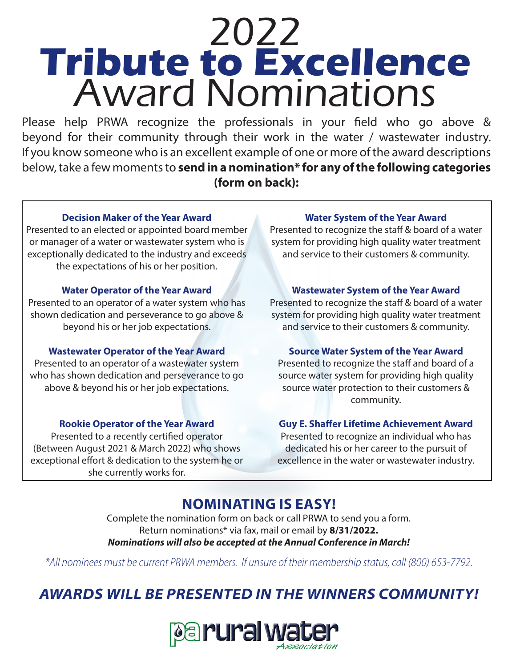# 2022 **Tribute to Excellence** Award Nominations

Please help PRWA recognize the professionals in your field who go above & beyond for their community through their work in the water / wastewater industry. If you know someone who is an excellent example of one or more of the award descriptions below, take a few moments to **send in a nomination\* for any of the following categories (form on back):**

#### **Decision Maker of the Year Award**

Presented to an elected or appointed board member or manager of a water or wastewater system who is exceptionally dedicated to the industry and exceeds the expectations of his or her position.

#### **Water Operator of the Year Award**

Presented to an operator of a water system who has shown dedication and perseverance to go above & beyond his or her job expectations.

#### **Wastewater Operator of the Year Award**

Presented to an operator of a wastewater system who has shown dedication and perseverance to go above & beyond his or her job expectations.

#### **Rookie Operator of the Year Award**

Presented to a recently certified operator (Between August 2021 & March 2022) who shows exceptional effort & dedication to the system he or she currently works for.

#### **Water System of the Year Award**

Presented to recognize the staff & board of a water system for providing high quality water treatment and service to their customers & community.

#### **Wastewater System of the Year Award**

Presented to recognize the staff & board of a water system for providing high quality water treatment and service to their customers & community.

#### **Source Water System of the Year Award**

Presented to recognize the staff and board of a source water system for providing high quality source water protection to their customers & community.

#### **Guy E. Shaffer Lifetime Achievement Award**

Presented to recognize an individual who has dedicated his or her career to the pursuit of excellence in the water or wastewater industry.

## **NOMINATING IS EASY!**

Complete the nomination form on back or call PRWA to send you a form. Return nominations\* via fax, mail or email by **8/31/2022.** *Nominations will also be accepted at the Annual Conference in March!*

*\*All nominees must be current PRWA members. If unsure of their membership status, call (800) 653-7792.*

# *AWARDS WILL BE PRESENTED IN THE WINNERS COMMUNITY!*